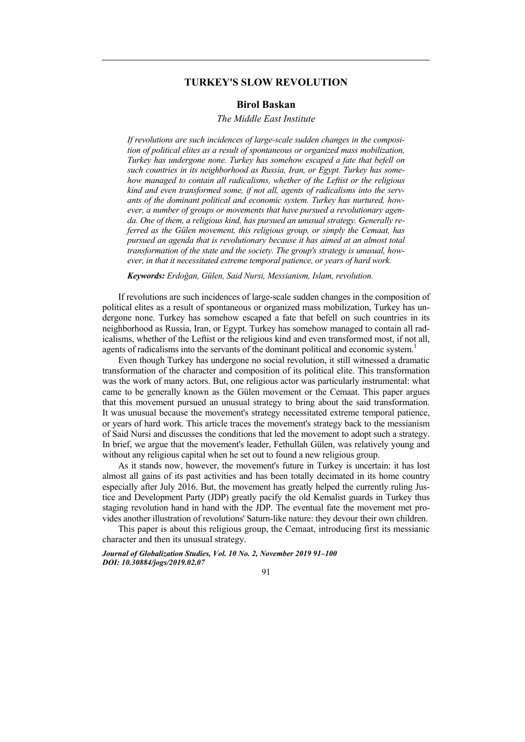# **TURKEY'S SLOW REVOLUTION**

## **Birol Baskan**

### *The Middle East Institute*

*If revolutions are such incidences of large-scale sudden changes in the composition of political elites as a result of spontaneous or organized mass mobilization, Turkey has undergone none. Turkey has somehow escaped a fate that befell on such countries in its neighborhood as Russia, Iran, or Egypt. Turkey has somehow managed to contain all radicalisms, whether of the Leftist or the religious kind and even transformed some, if not all, agents of radicalisms into the servants of the dominant political and economic system. Turkey has nurtured, however, a number of groups or movements that have pursued a revolutionary agenda. One of them, a religious kind, has pursued an unusual strategy. Generally referred as the Gülen movement, this religious group, or simply the Cemaat, has pursued an agenda that is revolutionary because it has aimed at an almost total transformation of the state and the society. The group's strategy is unusual, however, in that it necessitated extreme temporal patience, or years of hard work.* 

*Keywords: Erdoğan, Gülen, Said Nursi, Messianism, Islam, revolution.* 

If revolutions are such incidences of large-scale sudden changes in the composition of political elites as a result of spontaneous or organized mass mobilization, Turkey has undergone none. Turkey has somehow escaped a fate that befell on such countries in its neighborhood as Russia, Iran, or Egypt. Turkey has somehow managed to contain all radicalisms, whether of the Leftist or the religious kind and even transformed most, if not all, agents of radicalisms into the servants of the dominant political and economic system.<sup>1</sup>

Even though Turkey has undergone no social revolution, it still witnessed a dramatic transformation of the character and composition of its political elite. This transformation was the work of many actors. But, one religious actor was particularly instrumental: what came to be generally known as the Gülen movement or the Cemaat. This paper argues that this movement pursued an unusual strategy to bring about the said transformation. It was unusual because the movement's strategy necessitated extreme temporal patience, or years of hard work. This article traces the movement's strategy back to the messianism of Said Nursi and discusses the conditions that led the movement to adopt such a strategy. In brief, we argue that the movement's leader, Fethullah Gülen, was relatively young and without any religious capital when he set out to found a new religious group.

As it stands now, however, the movement's future in Turkey is uncertain: it has lost almost all gains of its past activities and has been totally decimated in its home country especially after July 2016. But, the movement has greatly helped the currently ruling Justice and Development Party (JDP) greatly pacify the old Kemalist guards in Turkey thus staging revolution hand in hand with the JDP. The eventual fate the movement met provides another illustration of revolutions' Saturn-like nature: they devour their own children.

This paper is about this religious group, the Cemaat, introducing first its messianic character and then its unusual strategy.

*Journal of Globalization Studies, Vol. 10 No. 2, November 2019 91–100 DOI: 10.30884/jogs/2019.02.07* 

91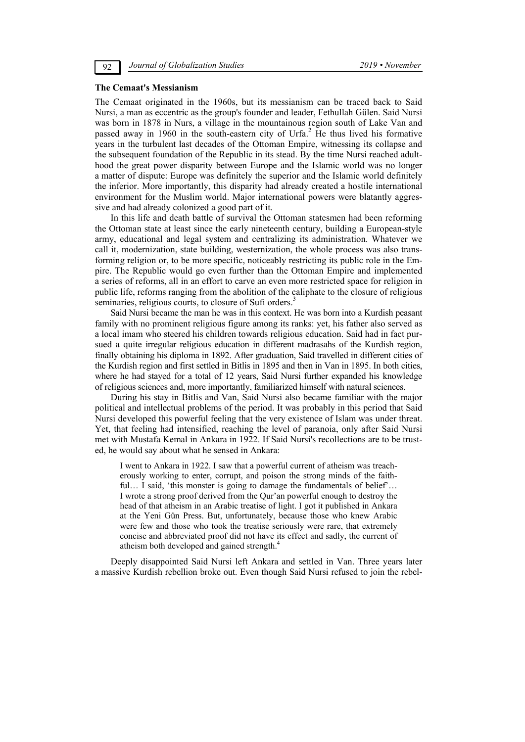#### **The Cemaat's Messianism**

The Cemaat originated in the 1960s, but its messianism can be traced back to Said Nursi, a man as eccentric as the group's founder and leader, Fethullah Gülen. Said Nursi was born in 1878 in Nurs, a village in the mountainous region south of Lake Van and passed away in 1960 in the south-eastern city of Urfa.<sup>2</sup> He thus lived his formative years in the turbulent last decades of the Ottoman Empire, witnessing its collapse and the subsequent foundation of the Republic in its stead. By the time Nursi reached adulthood the great power disparity between Europe and the Islamic world was no longer a matter of dispute: Europe was definitely the superior and the Islamic world definitely the inferior. More importantly, this disparity had already created a hostile international environment for the Muslim world. Major international powers were blatantly aggressive and had already colonized a good part of it.

In this life and death battle of survival the Ottoman statesmen had been reforming the Ottoman state at least since the early nineteenth century, building a European-style army, educational and legal system and centralizing its administration. Whatever we call it, modernization, state building, westernization, the whole process was also transforming religion or, to be more specific, noticeably restricting its public role in the Empire. The Republic would go even further than the Ottoman Empire and implemented a series of reforms, all in an effort to carve an even more restricted space for religion in public life, reforms ranging from the abolition of the caliphate to the closure of religious seminaries, religious courts, to closure of Sufi orders.<sup>3</sup>

Said Nursi became the man he was in this context. He was born into a Kurdish peasant family with no prominent religious figure among its ranks: yet, his father also served as a local imam who steered his children towards religious education. Said had in fact pursued a quite irregular religious education in different madrasahs of the Kurdish region, finally obtaining his diploma in 1892. After graduation, Said travelled in different cities of the Kurdish region and first settled in Bitlis in 1895 and then in Van in 1895. In both cities, where he had stayed for a total of 12 years, Said Nursi further expanded his knowledge of religious sciences and, more importantly, familiarized himself with natural sciences.

During his stay in Bitlis and Van, Said Nursi also became familiar with the major political and intellectual problems of the period. It was probably in this period that Said Nursi developed this powerful feeling that the very existence of Islam was under threat. Yet, that feeling had intensified, reaching the level of paranoia, only after Said Nursi met with Mustafa Kemal in Ankara in 1922. If Said Nursi's recollections are to be trusted, he would say about what he sensed in Ankara:

I went to Ankara in 1922. I saw that a powerful current of atheism was treacherously working to enter, corrupt, and poison the strong minds of the faithful... I said, 'this monster is going to damage the fundamentals of belief'... I wrote a strong proof derived from the Qur'an powerful enough to destroy the head of that atheism in an Arabic treatise of light. I got it published in Ankara at the Yeni Gün Press. But, unfortunately, because those who knew Arabic were few and those who took the treatise seriously were rare, that extremely concise and abbreviated proof did not have its effect and sadly, the current of atheism both developed and gained strength.4

Deeply disappointed Said Nursi left Ankara and settled in Van. Three years later a massive Kurdish rebellion broke out. Even though Said Nursi refused to join the rebel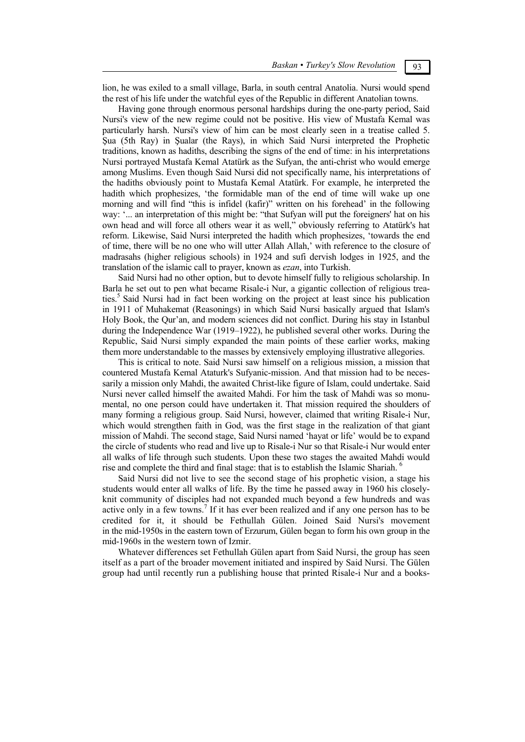lion, he was exiled to a small village, Barla, in south central Anatolia. Nursi would spend the rest of his life under the watchful eyes of the Republic in different Anatolian towns.

Having gone through enormous personal hardships during the one-party period, Said Nursi's view of the new regime could not be positive. His view of Mustafa Kemal was particularly harsh. Nursi's view of him can be most clearly seen in a treatise called 5. Sua (5th Ray) in Sualar (the Rays), in which Said Nursi interpreted the Prophetic traditions, known as hadiths, describing the signs of the end of time: in his interpretations Nursi portrayed Mustafa Kemal Atatürk as the Sufyan, the anti-christ who would emerge among Muslims. Even though Said Nursi did not specifically name, his interpretations of the hadiths obviously point to Mustafa Kemal Atatürk. For example, he interpreted the hadith which prophesizes, 'the formidable man of the end of time will wake up one morning and will find "this is infidel (kafir)" written on his forehead' in the following way: '... an interpretation of this might be: "that Sufyan will put the foreigners' hat on his own head and will force all others wear it as well," obviously referring to Atatürk's hat reform. Likewise, Said Nursi interpreted the hadith which prophesizes, 'towards the end of time, there will be no one who will utter Allah Allah,' with reference to the closure of madrasahs (higher religious schools) in 1924 and sufi dervish lodges in 1925, and the translation of the islamic call to prayer, known as *ezan*, into Turkish.

Said Nursi had no other option, but to devote himself fully to religious scholarship. In Barla he set out to pen what became Risale-i Nur, a gigantic collection of religious treaties.5 Said Nursi had in fact been working on the project at least since his publication in 1911 of Muhakemat (Reasonings) in which Said Nursi basically argued that Islam's Holy Book, the Qur'an, and modern sciences did not conflict. During his stay in Istanbul during the Independence War (1919–1922), he published several other works. During the Republic, Said Nursi simply expanded the main points of these earlier works, making them more understandable to the masses by extensively employing illustrative allegories.

This is critical to note. Said Nursi saw himself on a religious mission, a mission that countered Mustafa Kemal Ataturk's Sufyanic-mission. And that mission had to be necessarily a mission only Mahdi, the awaited Christ-like figure of Islam, could undertake. Said Nursi never called himself the awaited Mahdi. For him the task of Mahdi was so monumental, no one person could have undertaken it. That mission required the shoulders of many forming a religious group. Said Nursi, however, claimed that writing Risale-i Nur, which would strengthen faith in God, was the first stage in the realization of that giant mission of Mahdi. The second stage, Said Nursi named 'hayat or life' would be to expand the circle of students who read and live up to Risale-i Nur so that Risale-i Nur would enter all walks of life through such students. Upon these two stages the awaited Mahdi would rise and complete the third and final stage: that is to establish the Islamic Shariah. <sup>6</sup>

Said Nursi did not live to see the second stage of his prophetic vision, a stage his students would enter all walks of life. By the time he passed away in 1960 his closelyknit community of disciples had not expanded much beyond a few hundreds and was active only in a few towns.<sup>7</sup> If it has ever been realized and if any one person has to be credited for it, it should be Fethullah Gülen. Joined Said Nursi's movement in the mid-1950s in the eastern town of Erzurum, Gülen began to form his own group in the mid-1960s in the western town of Izmir.

Whatever differences set Fethullah Gülen apart from Said Nursi, the group has seen itself as a part of the broader movement initiated and inspired by Said Nursi. The Gülen group had until recently run a publishing house that printed Risale-i Nur and a books-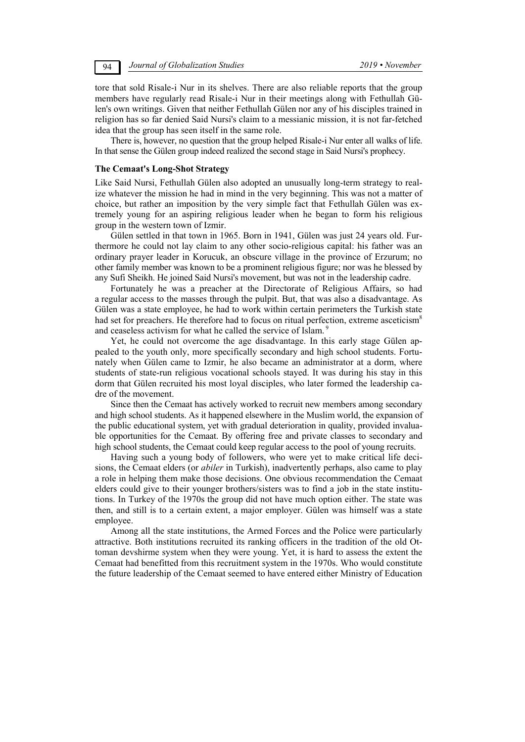tore that sold Risale-i Nur in its shelves. There are also reliable reports that the group members have regularly read Risale-i Nur in their meetings along with Fethullah Gülen's own writings. Given that neither Fethullah Gülen nor any of his disciples trained in religion has so far denied Said Nursi's claim to a messianic mission, it is not far-fetched idea that the group has seen itself in the same role.

There is, however, no question that the group helped Risale-i Nur enter all walks of life. In that sense the Gülen group indeed realized the second stage in Said Nursi's prophecy.

## **The Cemaat's Long-Shot Strategy**

Like Said Nursi, Fethullah Gülen also adopted an unusually long-term strategy to realize whatever the mission he had in mind in the very beginning. This was not a matter of choice, but rather an imposition by the very simple fact that Fethullah Gülen was extremely young for an aspiring religious leader when he began to form his religious group in the western town of Izmir.

Gülen settled in that town in 1965. Born in 1941, Gülen was just 24 years old. Furthermore he could not lay claim to any other socio-religious capital: his father was an ordinary prayer leader in Korucuk, an obscure village in the province of Erzurum; no other family member was known to be a prominent religious figure; nor was he blessed by any Sufi Sheikh. He joined Said Nursi's movement, but was not in the leadership cadre.

Fortunately he was a preacher at the Directorate of Religious Affairs, so had a regular access to the masses through the pulpit. But, that was also a disadvantage. As Gülen was a state employee, he had to work within certain perimeters the Turkish state had set for preachers. He therefore had to focus on ritual perfection, extreme asceticism<sup>8</sup> and ceaseless activism for what he called the service of Islam.<sup>9</sup>

Yet, he could not overcome the age disadvantage. In this early stage Gülen appealed to the youth only, more specifically secondary and high school students. Fortunately when Gülen came to Izmir, he also became an administrator at a dorm, where students of state-run religious vocational schools stayed. It was during his stay in this dorm that Gülen recruited his most loyal disciples, who later formed the leadership cadre of the movement.

Since then the Cemaat has actively worked to recruit new members among secondary and high school students. As it happened elsewhere in the Muslim world, the expansion of the public educational system, yet with gradual deterioration in quality, provided invaluable opportunities for the Cemaat. By offering free and private classes to secondary and high school students, the Cemaat could keep regular access to the pool of young recruits.

Having such a young body of followers, who were yet to make critical life decisions, the Cemaat elders (or *abiler* in Turkish), inadvertently perhaps, also came to play a role in helping them make those decisions. One obvious recommendation the Cemaat elders could give to their younger brothers/sisters was to find a job in the state institutions. In Turkey of the 1970s the group did not have much option either. The state was then, and still is to a certain extent, a major employer. Gülen was himself was a state employee.

Among all the state institutions, the Armed Forces and the Police were particularly attractive. Both institutions recruited its ranking officers in the tradition of the old Ottoman devshirme system when they were young. Yet, it is hard to assess the extent the Cemaat had benefitted from this recruitment system in the 1970s. Who would constitute the future leadership of the Cemaat seemed to have entered either Ministry of Education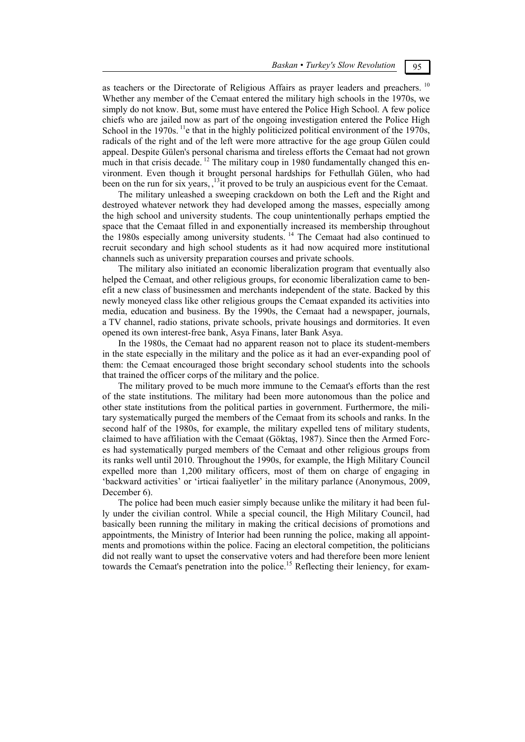as teachers or the Directorate of Religious Affairs as prayer leaders and preachers.<sup>10</sup> Whether any member of the Cemaat entered the military high schools in the 1970s, we simply do not know. But, some must have entered the Police High School. A few police chiefs who are jailed now as part of the ongoing investigation entered the Police High School in the  $1970s$ . <sup>11</sup>e that in the highly politicized political environment of the  $1970s$ , radicals of the right and of the left were more attractive for the age group Gülen could appeal. Despite Gülen's personal charisma and tireless efforts the Cemaat had not grown much in that crisis decade. <sup>12</sup> The military coup in 1980 fundamentally changed this environment. Even though it brought personal hardships for Fethullah Gülen, who had been on the run for six years,  $^{13}$ it proved to be truly an auspicious event for the Cemaat.

The military unleashed a sweeping crackdown on both the Left and the Right and destroyed whatever network they had developed among the masses, especially among the high school and university students. The coup unintentionally perhaps emptied the space that the Cemaat filled in and exponentially increased its membership throughout the 1980s especially among university students. 14 The Cemaat had also continued to recruit secondary and high school students as it had now acquired more institutional channels such as university preparation courses and private schools.

The military also initiated an economic liberalization program that eventually also helped the Cemaat, and other religious groups, for economic liberalization came to benefit a new class of businessmen and merchants independent of the state. Backed by this newly moneyed class like other religious groups the Cemaat expanded its activities into media, education and business. By the 1990s, the Cemaat had a newspaper, journals, a TV channel, radio stations, private schools, private housings and dormitories. It even opened its own interest-free bank, Asya Finans, later Bank Asya.

In the 1980s, the Cemaat had no apparent reason not to place its student-members in the state especially in the military and the police as it had an ever-expanding pool of them: the Cemaat encouraged those bright secondary school students into the schools that trained the officer corps of the military and the police.

The military proved to be much more immune to the Cemaat's efforts than the rest of the state institutions. The military had been more autonomous than the police and other state institutions from the political parties in government. Furthermore, the military systematically purged the members of the Cemaat from its schools and ranks. In the second half of the 1980s, for example, the military expelled tens of military students, claimed to have affiliation with the Cemaat (Göktaş, 1987). Since then the Armed Forces had systematically purged members of the Cemaat and other religious groups from its ranks well until 2010. Throughout the 1990s, for example, the High Military Council expelled more than 1,200 military officers, most of them on charge of engaging in 'backward activities' or 'irticai faaliyetler' in the military parlance (Anonymous, 2009, December 6).

The police had been much easier simply because unlike the military it had been fully under the civilian control. While a special council, the High Military Council, had basically been running the military in making the critical decisions of promotions and appointments, the Ministry of Interior had been running the police, making all appointments and promotions within the police. Facing an electoral competition, the politicians did not really want to upset the conservative voters and had therefore been more lenient towards the Cemaat's penetration into the police.<sup>15</sup> Reflecting their leniency, for exam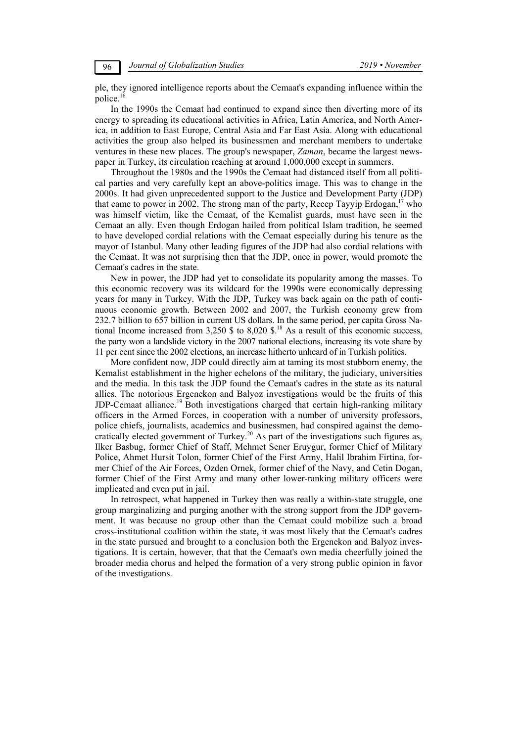ple, they ignored intelligence reports about the Cemaat's expanding influence within the police.<sup>16</sup>

In the 1990s the Cemaat had continued to expand since then diverting more of its energy to spreading its educational activities in Africa, Latin America, and North America, in addition to East Europe, Central Asia and Far East Asia. Along with educational activities the group also helped its businessmen and merchant members to undertake ventures in these new places. The group's newspaper, *Zaman*, became the largest newspaper in Turkey, its circulation reaching at around 1,000,000 except in summers.

Throughout the 1980s and the 1990s the Cemaat had distanced itself from all political parties and very carefully kept an above-politics image. This was to change in the 2000s. It had given unprecedented support to the Justice and Development Party (JDP) that came to power in 2002. The strong man of the party, Recep Tayyip Erdogan,<sup>17</sup> who was himself victim, like the Cemaat, of the Kemalist guards, must have seen in the Cemaat an ally. Even though Erdogan hailed from political Islam tradition, he seemed to have developed cordial relations with the Cemaat especially during his tenure as the mayor of Istanbul. Many other leading figures of the JDP had also cordial relations with the Cemaat. It was not surprising then that the JDP, once in power, would promote the Cemaat's cadres in the state.

New in power, the JDP had yet to consolidate its popularity among the masses. To this economic recovery was its wildcard for the 1990s were economically depressing years for many in Turkey. With the JDP, Turkey was back again on the path of continuous economic growth. Between 2002 and 2007, the Turkish economy grew from 232.7 billion to 657 billion in current US dollars. In the same period, per capita Gross National Income increased from 3,250 \$ to 8,020  $\frac{6}{18}$  As a result of this economic success, the party won a landslide victory in the 2007 national elections, increasing its vote share by 11 per cent since the 2002 elections, an increase hitherto unheard of in Turkish politics.

More confident now, JDP could directly aim at taming its most stubborn enemy, the Kemalist establishment in the higher echelons of the military, the judiciary, universities and the media. In this task the JDP found the Cemaat's cadres in the state as its natural allies. The notorious Ergenekon and Balyoz investigations would be the fruits of this JDP-Cemaat alliance.<sup>19</sup> Both investigations charged that certain high-ranking military officers in the Armed Forces, in cooperation with a number of university professors, police chiefs, journalists, academics and businessmen, had conspired against the democratically elected government of Turkey.<sup>20</sup> As part of the investigations such figures as, Ilker Basbug, former Chief of Staff, Mehmet Sener Eruygur, former Chief of Military Police, Ahmet Hursit Tolon, former Chief of the First Army, Halil Ibrahim Firtina, former Chief of the Air Forces, Ozden Ornek, former chief of the Navy, and Cetin Dogan, former Chief of the First Army and many other lower-ranking military officers were implicated and even put in jail.

In retrospect, what happened in Turkey then was really a within-state struggle, one group marginalizing and purging another with the strong support from the JDP government. It was because no group other than the Cemaat could mobilize such a broad cross-institutional coalition within the state, it was most likely that the Cemaat's cadres in the state pursued and brought to a conclusion both the Ergenekon and Balyoz investigations. It is certain, however, that that the Cemaat's own media cheerfully joined the broader media chorus and helped the formation of a very strong public opinion in favor of the investigations.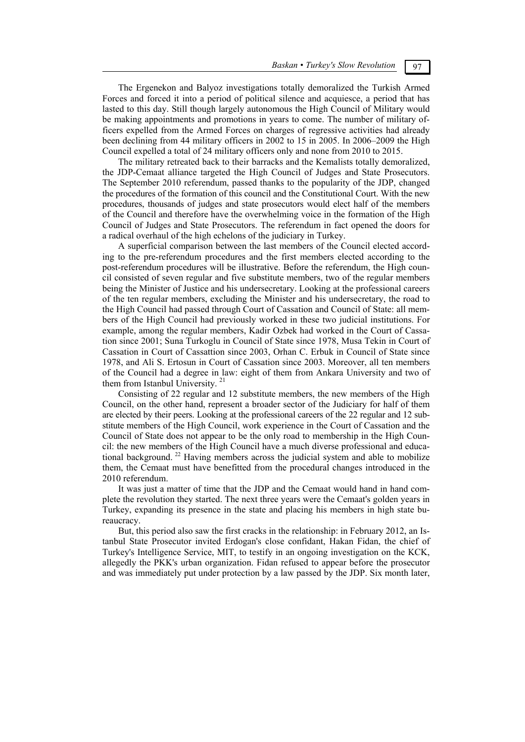The Ergenekon and Balyoz investigations totally demoralized the Turkish Armed Forces and forced it into a period of political silence and acquiesce, a period that has lasted to this day. Still though largely autonomous the High Council of Military would be making appointments and promotions in years to come. The number of military officers expelled from the Armed Forces on charges of regressive activities had already been declining from 44 military officers in 2002 to 15 in 2005. In 2006–2009 the High Council expelled a total of 24 military officers only and none from 2010 to 2015.

The military retreated back to their barracks and the Kemalists totally demoralized, the JDP-Cemaat alliance targeted the High Council of Judges and State Prosecutors. The September 2010 referendum, passed thanks to the popularity of the JDP, changed the procedures of the formation of this council and the Constitutional Court. With the new procedures, thousands of judges and state prosecutors would elect half of the members of the Council and therefore have the overwhelming voice in the formation of the High Council of Judges and State Prosecutors. The referendum in fact opened the doors for a radical overhaul of the high echelons of the judiciary in Turkey.

A superficial comparison between the last members of the Council elected according to the pre-referendum procedures and the first members elected according to the post-referendum procedures will be illustrative. Before the referendum, the High council consisted of seven regular and five substitute members, two of the regular members being the Minister of Justice and his undersecretary. Looking at the professional careers of the ten regular members, excluding the Minister and his undersecretary, the road to the High Council had passed through Court of Cassation and Council of State: all members of the High Council had previously worked in these two judicial institutions. For example, among the regular members, Kadir Ozbek had worked in the Court of Cassation since 2001; Suna Turkoglu in Council of State since 1978, Musa Tekin in Court of Cassation in Court of Cassattion since 2003, Orhan C. Erbuk in Council of State since 1978, and Ali S. Ertosun in Court of Cassation since 2003. Moreover, all ten members of the Council had a degree in law: eight of them from Ankara University and two of them from Istanbul University.<sup>21</sup>

Consisting of 22 regular and 12 substitute members, the new members of the High Council, on the other hand, represent a broader sector of the Judiciary for half of them are elected by their peers. Looking at the professional careers of the 22 regular and 12 substitute members of the High Council, work experience in the Court of Cassation and the Council of State does not appear to be the only road to membership in the High Council: the new members of the High Council have a much diverse professional and educational background. 22 Having members across the judicial system and able to mobilize them, the Cemaat must have benefitted from the procedural changes introduced in the 2010 referendum.

It was just a matter of time that the JDP and the Cemaat would hand in hand complete the revolution they started. The next three years were the Cemaat's golden years in Turkey, expanding its presence in the state and placing his members in high state bureaucracy.

But, this period also saw the first cracks in the relationship: in February 2012, an Istanbul State Prosecutor invited Erdogan's close confidant, Hakan Fidan, the chief of Turkey's Intelligence Service, MIT, to testify in an ongoing investigation on the KCK, allegedly the PKK's urban organization. Fidan refused to appear before the prosecutor and was immediately put under protection by a law passed by the JDP. Six month later,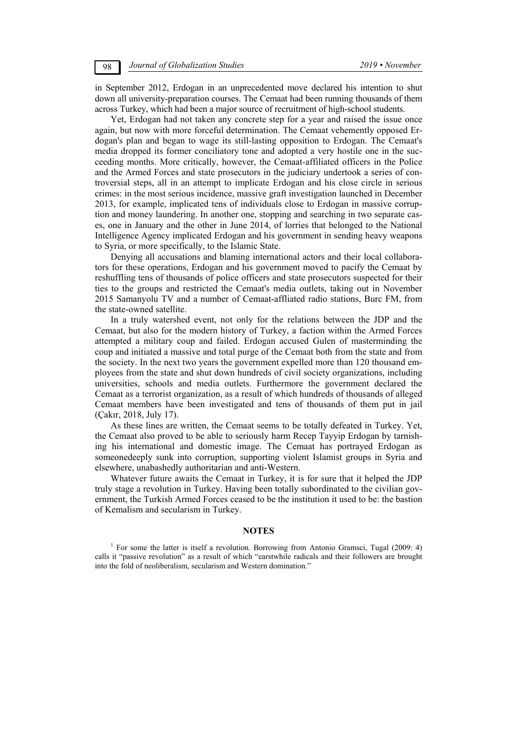in September 2012, Erdogan in an unprecedented move declared his intention to shut down all university-preparation courses. The Cemaat had been running thousands of them across Turkey, which had been a major source of recruitment of high-school students.

Yet, Erdogan had not taken any concrete step for a year and raised the issue once again, but now with more forceful determination. The Cemaat vehemently opposed Erdogan's plan and began to wage its still-lasting opposition to Erdogan. The Cemaat's media dropped its former conciliatory tone and adopted a very hostile one in the succeeding months. More critically, however, the Cemaat-affiliated officers in the Police and the Armed Forces and state prosecutors in the judiciary undertook a series of controversial steps, all in an attempt to implicate Erdogan and his close circle in serious crimes: in the most serious incidence, massive graft investigation launched in December 2013, for example, implicated tens of individuals close to Erdogan in massive corruption and money laundering. In another one, stopping and searching in two separate cases, one in January and the other in June 2014, of lorries that belonged to the National Intelligence Agency implicated Erdogan and his government in sending heavy weapons to Syria, or more specifically, to the Islamic State.

Denying all accusations and blaming international actors and their local collaborators for these operations, Erdogan and his government moved to pacify the Cemaat by reshuffling tens of thousands of police officers and state prosecutors suspected for their ties to the groups and restricted the Cemaat's media outlets, taking out in November 2015 Samanyolu TV and a number of Cemaat-affliated radio stations, Burc FM, from the state-owned satellite.

In a truly watershed event, not only for the relations between the JDP and the Cemaat, but also for the modern history of Turkey, a faction within the Armed Forces attempted a military coup and failed. Erdogan accused Gulen of masterminding the coup and initiated a massive and total purge of the Cemaat both from the state and from the society. In the next two years the government expelled more than 120 thousand employees from the state and shut down hundreds of civil society organizations, including universities, schools and media outlets. Furthermore the government declared the Cemaat as a terrorist organization, as a result of which hundreds of thousands of alleged Cemaat members have been investigated and tens of thousands of them put in jail (Çakır, 2018, July 17).

As these lines are written, the Cemaat seems to be totally defeated in Turkey. Yet, the Cemaat also proved to be able to seriously harm Recep Tayyip Erdogan by tarnishing his international and domestic image. The Cemaat has portrayed Erdogan as someonedeeply sunk into corruption, supporting violent Islamist groups in Syria and elsewhere, unabashedly authoritarian and anti-Western.

Whatever future awaits the Cemaat in Turkey, it is for sure that it helped the JDP truly stage a revolution in Turkey. Having been totally subordinated to the civilian government, the Turkish Armed Forces ceased to be the institution it used to be: the bastion of Kemalism and secularism in Turkey.

### **NOTES**

<sup>&</sup>lt;sup>1</sup> For some the latter is itself a revolution. Borrowing from Antonio Gramsci, Tugal (2009: 4) calls it "passive revolution" as a result of which "earstwhile radicals and their followers are brought into the fold of neoliberalism, secularism and Western domination."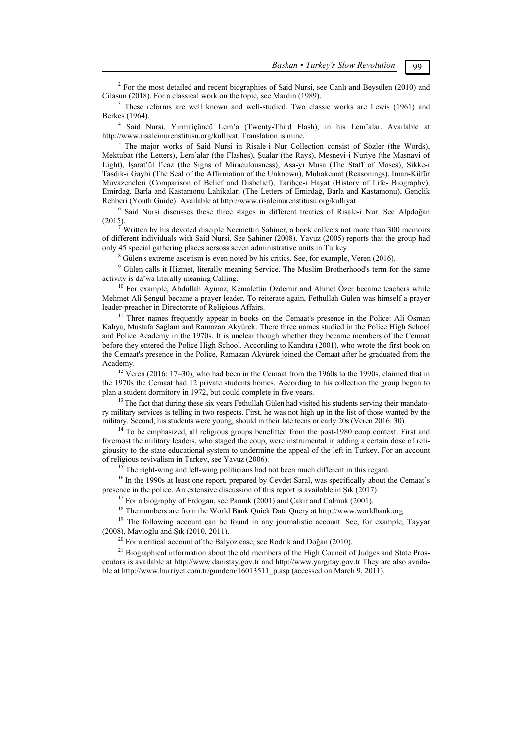$2^{2}$  For the most detailed and recent biographies of Said Nursi, see Canlı and Beysülen (2010) and Cilasun (2018). For a classical work on the topic, see Mardin (1989).  $\frac{3}{3}$  These referres are well known and well studied. Two electrical

<sup>3</sup> These reforms are well known and well-studied. Two classic works are Lewis (1961) and Berkes (1964). 4

 Said Nursi, Yirmiüçüncü Lem'a (Twenty-Third Flash), in his Lem'alar. Available at http://www.risaleinurenstitusu.org/kulliyat. Translation is mine. 5

<sup>5</sup> The major works of Said Nursi in Risale-i Nur Collection consist of Sözler (the Words), Mektubat (the Letters), Lem'alar (the Flashes), Şualar (the Rays), Mesnevi-i Nuriye (the Masnavi of Light), İşarat'ül İ'caz (the Signs of Miraculousness), Asa-yı Musa (The Staff of Moses), Sikke-i Tasdik-i Gaybi (The Seal of the Affirmation of the Unknown), Muhakemat (Reasonings), İman-Küfür Muvazeneleri (Comparison of Belief and Disbelief), Tarihçe-i Hayat (History of Life- Biography), Emirdağ, Barla and Kastamonu Lahikaları (The Letters of Emirdağ, Barla and Kastamonu), Gençlik Rehberi (Youth Guide). Available at http://www.risaleinurenstitusu.org/kulliyat 6

 $6$  Said Nursi discusses these three stages in different treaties of Risale-i Nur. See Alpdoğan  $(2015).$ 

 Written by his devoted disciple Necmettin Şahiner, a book collects not more than 300 memoirs of different individuals with Said Nursi. See Şahiner (2008). Yavuz (2005) reports that the group had only 45 special gathering places acrsoss seven administrative units in Turkey. 8

<sup>8</sup> Gülen's extreme ascetism is even noted by his critics. See, for example, Veren (2016).

<sup>9</sup> Gülen calls it Hizmet, literally meaning Service. The Muslim Brotherhood's term for the same activity is da'wa literally meaning Calling.

 $10$  For example, Abdullah Aymaz, Kemalettin Özdemir and Ahmet Özer became teachers while Mehmet Ali Şengül became a prayer leader. To reiterate again, Fethullah Gülen was himself a prayer

<sup>11</sup> Three names frequently appear in books on the Cemaat's presence in the Police: Ali Osman Kahya, Mustafa Sağlam and Ramazan Akyürek. There three names studied in the Police High School and Police Academy in the 1970s. It is unclear though whether they became members of the Cemaat before they entered the Police High School. According to Kandıra (2001), who wrote the first book on the Cemaat's presence in the Police, Ramazan Akyürek joined the Cemaat after he graduated from the Academy.<br><sup>12</sup> Veren (2016: 17–30), who had been in the Cemaat from the 1960s to the 1990s, claimed that in

the 1970s the Cemaat had 12 private students homes. According to his collection the group began to plan a student dormitory in 1972, but could complete in five years.

 $13$  The fact that during these six years Fethullah Gülen had visited his students serving their mandatory military services is telling in two respects. First, he was not high up in the list of those wanted by the military. Second, his students were young, should in their late teens or early 20s (Veren 2016: 30).

 $14$  To be emphasized, all religious groups benefitted from the post-1980 coup context. First and foremost the military leaders, who staged the coup, were instrumental in adding a certain dose of religiousity to the state educational system to undermine the appeal of the left in Turkey. For an account

 $^{15}$  The right-wing and left-wing politicians had not been much different in this regard.

<sup>16</sup> In the 1990s at least one report, prepared by Cevdet Saral, was specifically about the Cemaat's presence in the police. An extensive discussion of this report is available in Sık  $(2017)$ .

<sup>17</sup> For a biography of Erdogan, see Pamuk (2001) and Çakır and Calmuk (2001).<br><sup>18</sup> The numbers are from the World Bank Quick Data Query at http://www.worldbank.org<br><sup>19</sup> The following account can be found in any journalis (2008), Mavioğlu and Şık (2010, 2011).<br><sup>20</sup> For a critical account of the Balyoz case, see Rodrik and Doğan (2010).<br><sup>21</sup> Biographical information about the old members of the High Council of Judges and State Pros-

ecutors is available at http://www.danistay.gov.tr and http://www.yargitay.gov.tr They are also available at http://www.hurriyet.com.tr/gundem/16013511\_p.asp (accessed on March 9, 2011).